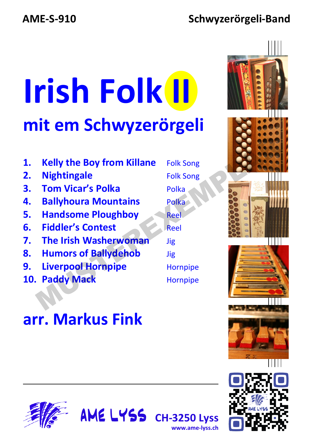#### **AME-S-910 Schwyzerörgeli-Band**

# **Irish Folk II mit em Schwyzerörgeli**

- **1. Kelly the Boy from Killane** Folk Song
- **2.** Nightingale **Example Folk Song**
- **3. Tom Vicar's Polka** Polka
- **4. Ballyhoura Mountains** Polka
- **5. Handsome Ploughboy** Reel
- **6. Fiddler's Contest** Reel
- **7. The Irish Washerwoman** Jig
- **8. Humors of Ballydehob** Jig

**arr. Markus Fink**

- **9. Liverpool Hornpipe** Hornpipe
- **10. Paddy Mack Hornpipe**





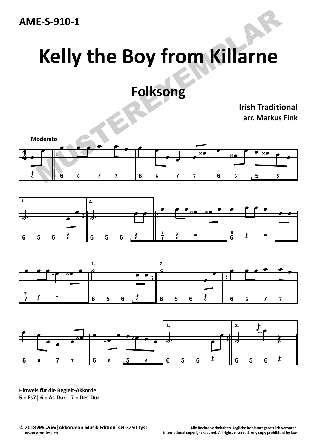

# **Kelly the Boy from Killarne**

#### **Folksong**

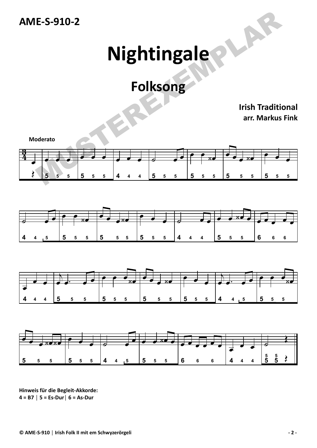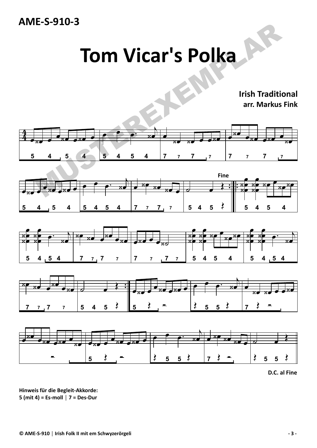

#### **Tom Vicar's Polka**



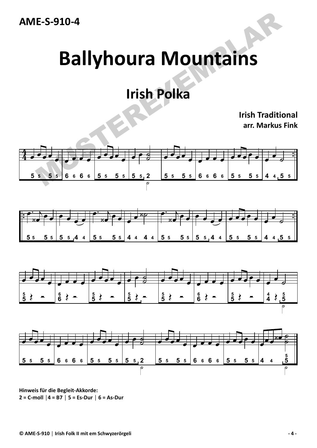**AME‐S‐910‐4**

## **Ballyhoura Mountains**

#### **Irish Polka**

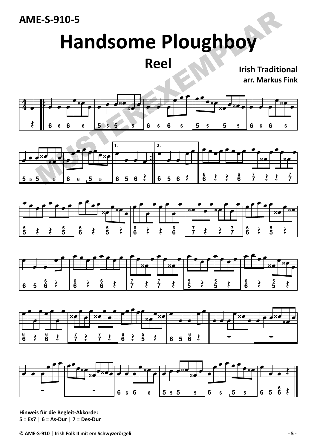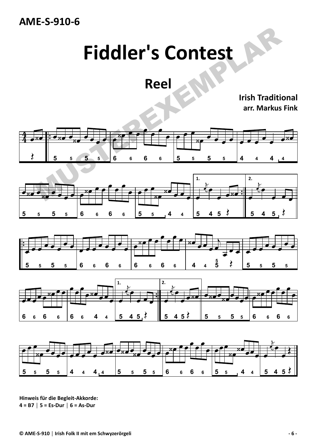

#### **Fiddler's Contest**

**Reel**



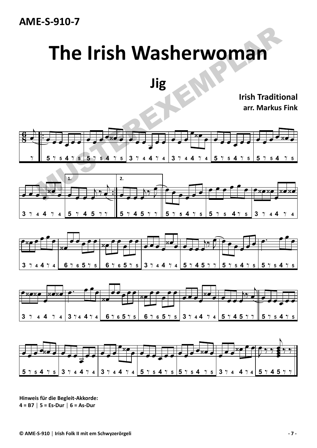

## **The Irish Washerwoman**

**Jig**



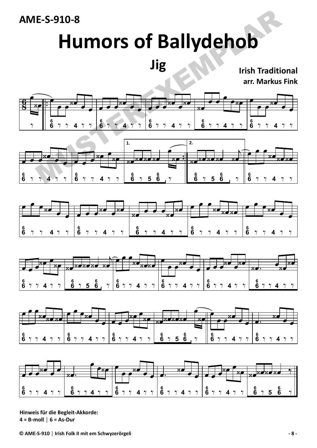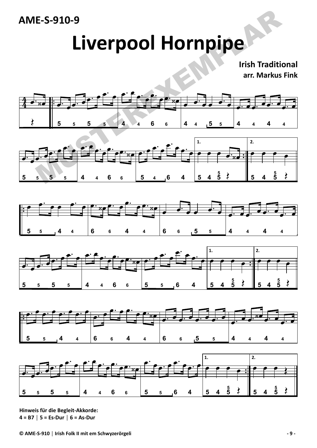

### **Liverpool Hornpipe**